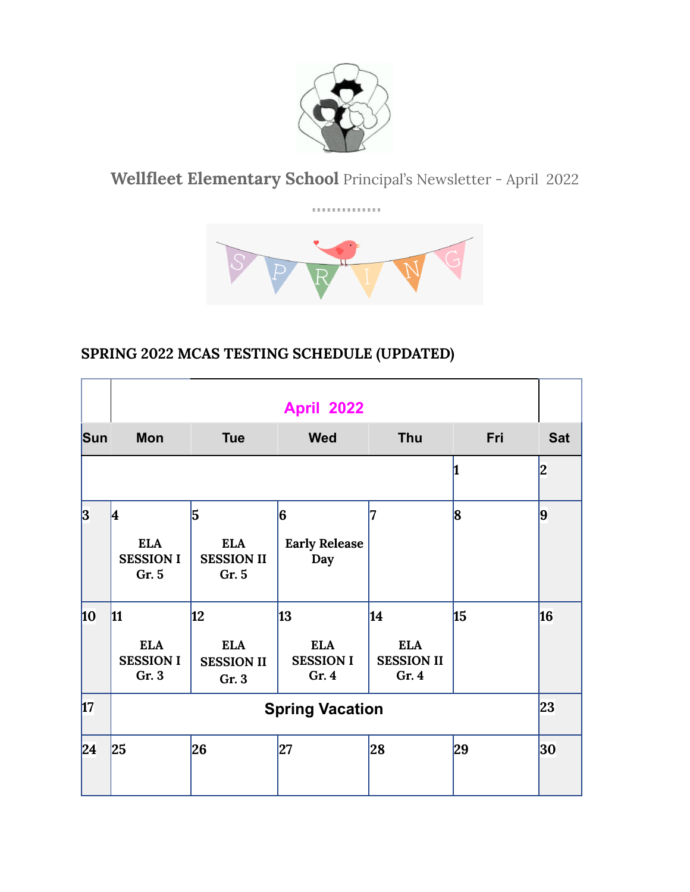

**Wellfleet Elementary School** Principal's Newsletter - April 2022

. . . . . . . . . . . . . .



# **SPRING 2022 MCAS TESTING SCHEDULE (UPDATED)**

|     | <b>April 2022</b>                                    |                                               |                                              |                                                |     |            |
|-----|------------------------------------------------------|-----------------------------------------------|----------------------------------------------|------------------------------------------------|-----|------------|
| Sun | <b>Mon</b>                                           | <b>Tue</b>                                    | <b>Wed</b>                                   | <b>Thu</b>                                     | Fri | <b>Sat</b> |
|     |                                                      |                                               |                                              |                                                |     | 2          |
| 3   | 4<br><b>ELA</b><br><b>SESSION I</b><br>Gr. 5         | 5<br><b>ELA</b><br><b>SESSION II</b><br>Gr. 5 | 6<br><b>Early Release</b><br>Day             | 7                                              | 8   | 9          |
| 10  | $\vert$ 11<br><b>ELA</b><br><b>SESSION I</b><br>Gr.3 | 12<br><b>ELA</b><br><b>SESSION II</b><br>Gr.3 | 13<br><b>ELA</b><br><b>SESSION I</b><br>Gr.4 | 14<br><b>ELA</b><br><b>SESSION II</b><br>Gr. 4 | 15  | 16         |
| 17  | <b>Spring Vacation</b>                               |                                               |                                              |                                                |     |            |
| 24  | 25                                                   | 26                                            | 27                                           | 28                                             | 29  | 30         |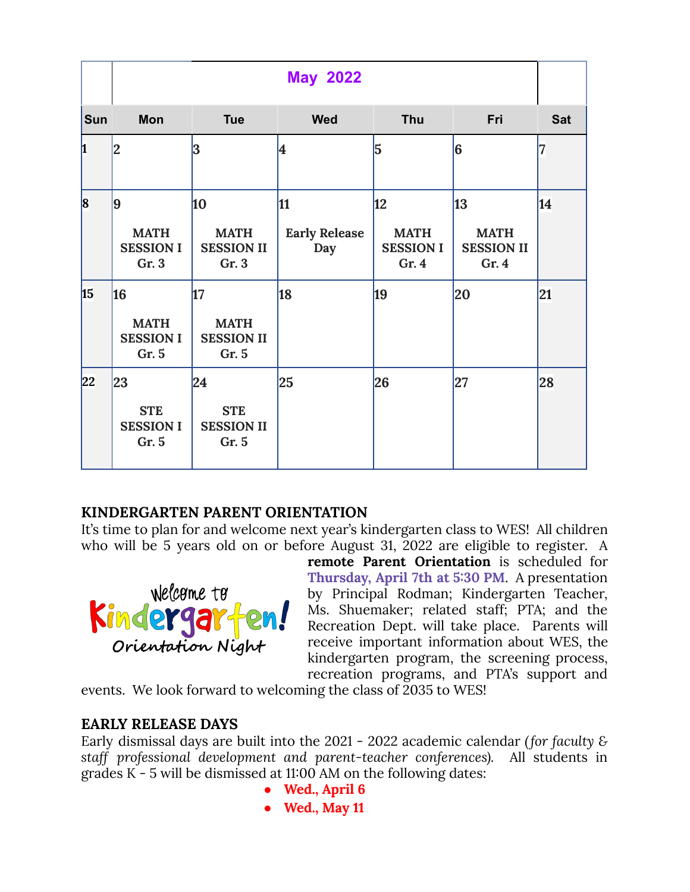|            | <b>May 2022</b>                                |                                                 |                                   |                                               |                                                |            |
|------------|------------------------------------------------|-------------------------------------------------|-----------------------------------|-----------------------------------------------|------------------------------------------------|------------|
| <b>Sun</b> | <b>Mon</b>                                     | <b>Tue</b>                                      | <b>Wed</b>                        | Thu                                           | Fri                                            | <b>Sat</b> |
| h          | 2                                              | 3                                               | 4                                 | 5                                             | 6                                              | 7          |
| $\bf{8}$   | 9<br><b>MATH</b><br><b>SESSION I</b><br>Gr. 3  | 10<br><b>MATH</b><br><b>SESSION II</b><br>Gr. 3 | 11<br><b>Early Release</b><br>Day | 12<br><b>MATH</b><br><b>SESSION I</b><br>Gr.4 | 13<br><b>MATH</b><br><b>SESSION II</b><br>Gr.4 | 14         |
| 15         | 16<br><b>MATH</b><br><b>SESSION I</b><br>Gr. 5 | 17<br><b>MATH</b><br><b>SESSION II</b><br>Gr. 5 | 18                                | 19                                            | 20                                             | 21         |
| 22         | 23<br><b>STE</b><br><b>SESSION I</b><br>Gr. 5  | 24<br><b>STE</b><br><b>SESSION II</b><br>Gr. 5  | 25                                | 26                                            | 27                                             | 28         |

# **KINDERGARTEN PARENT ORIENTATION**

It's time to plan for and welcome next year's kindergarten class to WES! All children who will be 5 years old on or before August 31, 2022 are eligible to register. A



**remote Parent Orientation** is scheduled for **Thursday, April 7th at 5:30 PM**. A presentation by Principal Rodman; Kindergarten Teacher, Ms. Shuemaker; related staff; PTA; and the Recreation Dept. will take place. Parents will receive important information about WES, the kindergarten program, the screening process, recreation programs, and PTA's support and

events. We look forward to welcoming the class of 2035 to WES!

#### **EARLY RELEASE DAYS**

Early dismissal days are built into the 2021 - 2022 academic calendar *(for faculty & staff professional development and parent-teacher conferences).* All students in grades K - 5 will be dismissed at 11:00 AM on the following dates:

- **● Wed., April 6**
- **● Wed., May 11**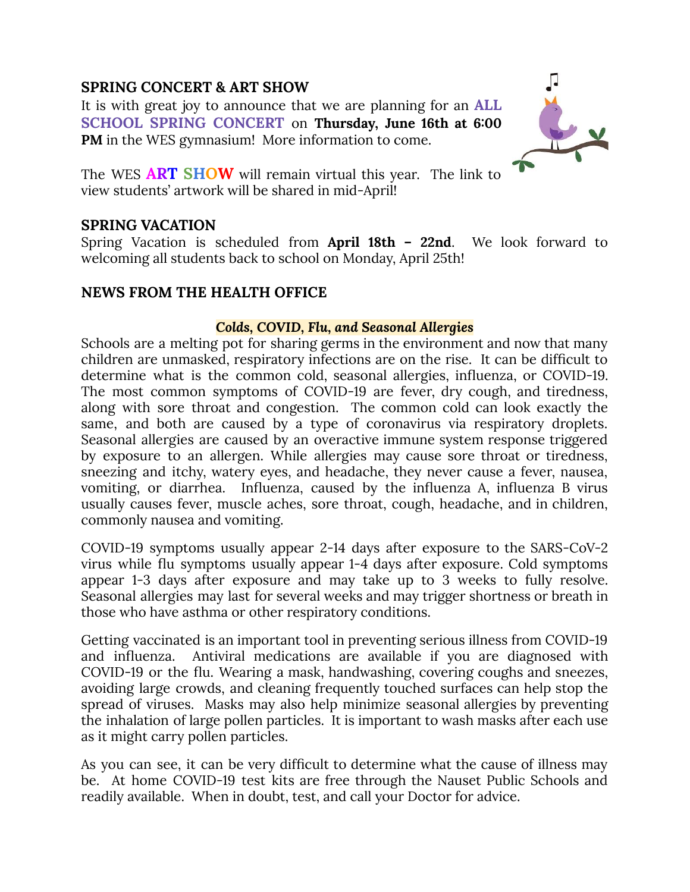## **SPRING CONCERT & ART SHOW**

It is with great joy to announce that we are planning for an **ALL SCHOOL SPRING CONCERT** on **Thursday, June 16th at 6:00 PM** in the WES gymnasium! More information to come.



The WES **ART SHOW** will remain virtual this year. The link to view students' artwork will be shared in mid-April!

#### **SPRING VACATION**

Spring Vacation is scheduled from **April 18th – 22nd**. We look forward to welcoming all students back to school on Monday, April 25th!

## **NEWS FROM THE HEALTH OFFICE**

#### *Colds, COVID, Flu, and Seasonal Allergies*

Schools are a melting pot for sharing germs in the environment and now that many children are unmasked, respiratory infections are on the rise. It can be difficult to determine what is the common cold, seasonal allergies, influenza, or COVID-19. The most common symptoms of COVID-19 are fever, dry cough, and tiredness, along with sore throat and congestion. The common cold can look exactly the same, and both are caused by a type of coronavirus via respiratory droplets. Seasonal allergies are caused by an overactive immune system response triggered by exposure to an allergen. While allergies may cause sore throat or tiredness, sneezing and itchy, watery eyes, and headache, they never cause a fever, nausea, vomiting, or diarrhea. Influenza, caused by the influenza A, influenza B virus usually causes fever, muscle aches, sore throat, cough, headache, and in children, commonly nausea and vomiting.

COVID-19 symptoms usually appear 2-14 days after exposure to the SARS-CoV-2 virus while flu symptoms usually appear 1-4 days after exposure. Cold symptoms appear 1-3 days after exposure and may take up to 3 weeks to fully resolve. Seasonal allergies may last for several weeks and may trigger shortness or breath in those who have asthma or other respiratory conditions.

Getting vaccinated is an important tool in preventing serious illness from COVID-19 and influenza. Antiviral medications are available if you are diagnosed with COVID-19 or the flu. Wearing a mask, handwashing, covering coughs and sneezes, avoiding large crowds, and cleaning frequently touched surfaces can help stop the spread of viruses. Masks may also help minimize seasonal allergies by preventing the inhalation of large pollen particles. It is important to wash masks after each use as it might carry pollen particles.

As you can see, it can be very difficult to determine what the cause of illness may be. At home COVID-19 test kits are free through the Nauset Public Schools and readily available. When in doubt, test, and call your Doctor for advice.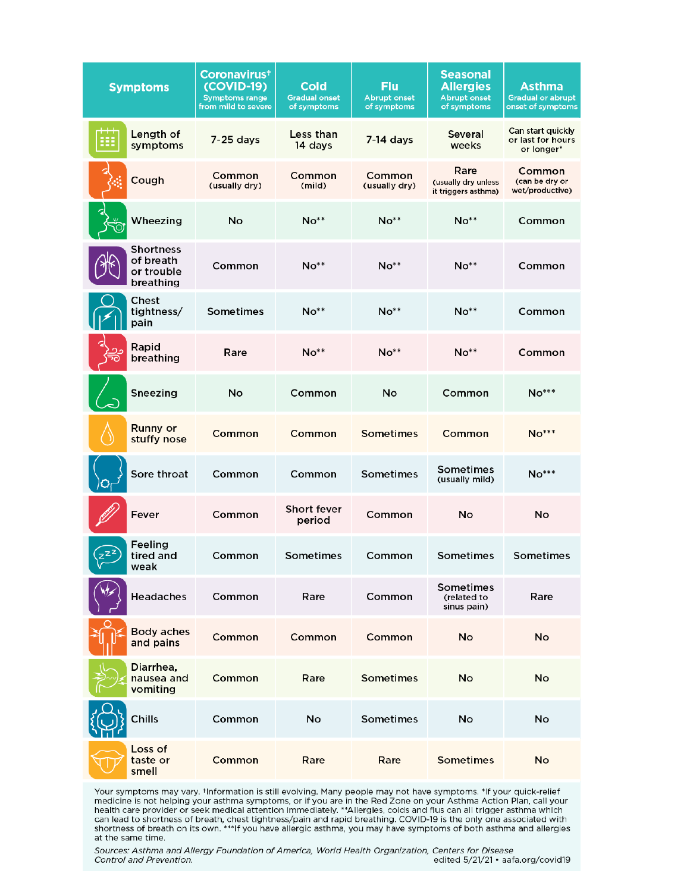| <b>Symptoms</b>                                   | Coronavirus <sup>+</sup><br>(COVID-19)<br><b>Symptoms range</b><br>from mild to severe | Cold<br><b>Gradual onset</b><br>of symptoms | <b>Flu</b><br><b>Abrupt onset</b><br>of symptoms | <b>Seasonal</b><br><b>Allergies</b><br><b>Abrupt onset</b><br>of symptoms | <b>Asthma</b><br><b>Gradual or abrupt</b><br>onset of symptoms |
|---------------------------------------------------|----------------------------------------------------------------------------------------|---------------------------------------------|--------------------------------------------------|---------------------------------------------------------------------------|----------------------------------------------------------------|
| Length of<br>用<br>symptoms                        | 7-25 days                                                                              | Less than<br>14 days                        | $7-14$ days                                      | Several<br>weeks                                                          | Can start quickly<br>or last for hours<br>or longer*           |
| Cough                                             | Common<br>(usually dry)                                                                | Common<br>(mild)                            | Common<br>(usually dry)                          | Rare<br>(usually dry unless<br>it triggers asthma)                        | Common<br>(can be dry or<br>wet/productive)                    |
| Wheezing                                          | No                                                                                     | $No**$                                      | $No**$                                           | $No**$                                                                    | Common                                                         |
| Shortness<br>of breath<br>or trouble<br>breathing | Common                                                                                 | $No**$                                      | $No**$                                           | $No**$                                                                    | Common                                                         |
| Chest<br>tightness/<br>pain                       | Sometimes                                                                              | $No**$                                      | $No**$                                           | $No**$                                                                    | Common                                                         |
| Rapid<br>breathing<br>ה?                          | Rare                                                                                   | $No**$                                      | $No**$                                           | $No**$                                                                    | Common                                                         |
| Sneezing                                          | No                                                                                     | Common                                      | No                                               | Common                                                                    | $No***$                                                        |
| Runny or<br>stuffy nose                           | Common                                                                                 | Common                                      | Sometimes                                        | Common                                                                    | $No***$                                                        |
| Sore throat                                       | Common                                                                                 | Common                                      | Sometimes                                        | Sometimes<br>(usually mild)                                               | $No***$                                                        |
| Fever                                             | Common                                                                                 | <b>Short fever</b><br>period                | Common                                           | No                                                                        | No                                                             |
| Feeling<br>$Z^{Z^Z}$<br>tired and<br>weak         | Common                                                                                 | Sometimes                                   | Common                                           | Sometimes                                                                 | Sometimes                                                      |
| Headaches                                         | Common                                                                                 | Rare                                        | Common                                           | Sometimes<br>(related to<br>sinus pain)                                   | Rare                                                           |
| <b>Body aches</b><br>and pains                    | Common                                                                                 | Common                                      | Common                                           | No                                                                        | No                                                             |
| Diarrhea,<br>nausea and<br>vomiting               | Common                                                                                 | Rare                                        | <b>Sometimes</b>                                 | No                                                                        | No                                                             |
| Chills                                            | Common                                                                                 | No                                          | Sometimes                                        | No                                                                        | No                                                             |
| Loss of<br>taste or<br>smell                      | Common                                                                                 | Rare                                        | Rare                                             | <b>Sometimes</b>                                                          | No                                                             |

Your symptoms may vary. †Information is still evolving. Many people may not have symptoms. \*If your quick-relief medicine is not helping your asthma symptoms, or if you are in the Red Zone on your Asthma Action Plan, call at the same time.

Sources: Asthma and Allergy Foundation of America, World Health Organization, Centers for Disease edited 5/21/21 · aafa.org/covid19 Control and Prevention.